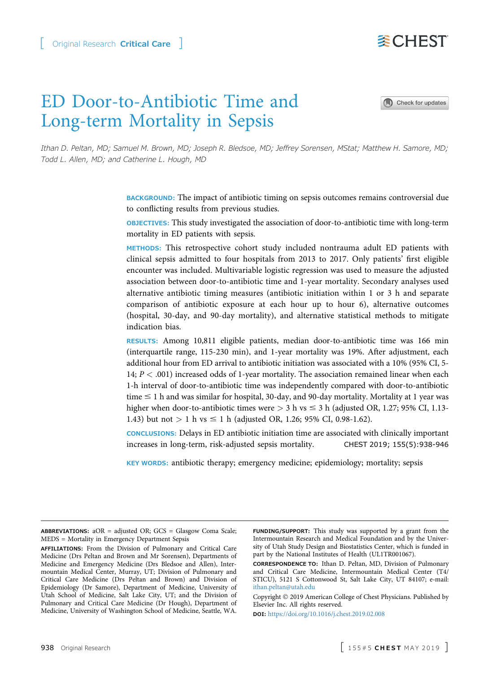# ED Door-to-Antibiotic Time and Long-term Mortality in Sepsis

Ithan D. Peltan, MD; Samuel M. Brown, MD; Joseph R. Bledsoe, MD; Jeffrey Sorensen, MStat; Matthew H. Samore, MD; Todd L. Allen, MD; and Catherine L. Hough, MD

> BACKGROUND: The impact of antibiotic timing on sepsis outcomes remains controversial due to conflicting results from previous studies.

> OBJECTIVES: This study investigated the association of door-to-antibiotic time with long-term mortality in ED patients with sepsis.

> METHODS: This retrospective cohort study included nontrauma adult ED patients with clinical sepsis admitted to four hospitals from 2013 to 2017. Only patients' first eligible encounter was included. Multivariable logistic regression was used to measure the adjusted association between door-to-antibiotic time and 1-year mortality. Secondary analyses used alternative antibiotic timing measures (antibiotic initiation within 1 or 3 h and separate comparison of antibiotic exposure at each hour up to hour 6), alternative outcomes (hospital, 30-day, and 90-day mortality), and alternative statistical methods to mitigate indication bias.

> RESULTS: Among 10,811 eligible patients, median door-to-antibiotic time was 166 min (interquartile range, 115-230 min), and 1-year mortality was 19%. After adjustment, each additional hour from ED arrival to antibiotic initiation was associated with a 10% (95% CI, 5- 14;  $P < .001$ ) increased odds of 1-year mortality. The association remained linear when each 1-h interval of door-to-antibiotic time was independently compared with door-to-antibiotic time  $\leq 1$  h and was similar for hospital, 30-day, and 90-day mortality. Mortality at 1 year was higher when door-to-antibiotic times were  $>$  3 h vs  $\leq$  3 h (adjusted OR, 1.27; 95% CI, 1.13-1.43) but not  $> 1$  h vs  $\leq 1$  h (adjusted OR, 1.26; 95% CI, 0.98-1.62).

> CONCLUSIONS: Delays in ED antibiotic initiation time are associated with clinically important increases in long-term, risk-adjusted sepsis mortality. CHEST 2019; 155(5):938-946

KEY WORDS: antibiotic therapy; emergency medicine; epidemiology; mortality; sepsis

ABBREVIATIONS: aOR = adjusted OR; GCS = Glasgow Coma Scale; MEDS = Mortality in Emergency Department Sepsis

AFFILIATIONS: From the Division of Pulmonary and Critical Care Medicine (Drs Peltan and Brown and Mr Sorensen), Departments of Medicine and Emergency Medicine (Drs Bledsoe and Allen), Intermountain Medical Center, Murray, UT; Division of Pulmonary and Critical Care Medicine (Drs Peltan and Brown) and Division of Epidemiology (Dr Samore), Department of Medicine, University of Utah School of Medicine, Salt Lake City, UT; and the Division of Pulmonary and Critical Care Medicine (Dr Hough), Department of Medicine, University of Washington School of Medicine, Seattle, WA.

FUNDING/SUPPORT: This study was supported by a grant from the Intermountain Research and Medical Foundation and by the University of Utah Study Design and Biostatistics Center, which is funded in part by the National Institutes of Health (UL1TR001067).

CORRESPONDENCE TO: Ithan D. Peltan, MD, Division of Pulmonary and Critical Care Medicine, Intermountain Medical Center (T4/ STICU), 5121 S Cottonwood St, Salt Lake City, UT 84107; e-mail: [ithan.peltan@utah.edu](mailto:ithan.peltan@utah.edu)

Copyright © 2019 American College of Chest Physicians. Published by Elsevier Inc. All rights reserved.

DOI: <https://doi.org/10.1016/j.chest.2019.02.008>





**委CHEST**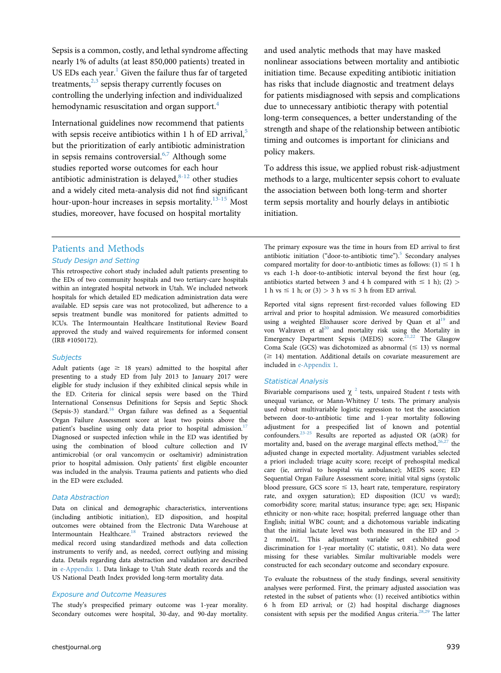Sepsis is a common, costly, and lethal syndrome affecting nearly 1% of adults (at least 850,000 patients) treated in US EDs each year. $<sup>1</sup>$  $<sup>1</sup>$  $<sup>1</sup>$  Given the failure thus far of targeted</sup> treatments, $2,3$  sepsis therapy currently focuses on controlling the underlying infection and individualized hemodynamic resuscitation and organ support.<sup>[4](#page-7-0)</sup>

International guidelines now recommend that patients with sepsis receive antibiotics within 1 h of ED arrival, $5$ but the prioritization of early antibiotic administration in sepsis remains controversial. $6,7$  Although some studies reported worse outcomes for each hour antibiotic administration is delayed, $8-12$  other studies and a widely cited meta-analysis did not find significant hour-upon-hour increases in sepsis mortality. $13-15$  Most studies, moreover, have focused on hospital mortality

and used analytic methods that may have masked nonlinear associations between mortality and antibiotic initiation time. Because expediting antibiotic initiation has risks that include diagnostic and treatment delays for patients misdiagnosed with sepsis and complications due to unnecessary antibiotic therapy with potential long-term consequences, a better understanding of the strength and shape of the relationship between antibiotic timing and outcomes is important for clinicians and policy makers.

To address this issue, we applied robust risk-adjustment methods to a large, multicenter sepsis cohort to evaluate the association between both long-term and shorter term sepsis mortality and hourly delays in antibiotic initiation.

## Patients and Methods Study Design and Setting

This retrospective cohort study included adult patients presenting to the EDs of two community hospitals and two tertiary-care hospitals within an integrated hospital network in Utah. We included network hospitals for which detailed ED medication administration data were available. ED sepsis care was not protocolized, but adherence to a sepsis treatment bundle was monitored for patients admitted to ICUs. The Intermountain Healthcare Institutional Review Board approved the study and waived requirements for informed consent (IRB #1050172).

#### **Subjects**

Adult patients (age  $\geq$  18 years) admitted to the hospital after presenting to a study ED from July 2013 to January 2017 were eligible for study inclusion if they exhibited clinical sepsis while in the ED. Criteria for clinical sepsis were based on the Third International Consensus Definitions for Sepsis and Septic Shock (Sepsis-3) standard.<sup>16</sup> Organ failure was defined as a Sequential Organ Failure Assessment score at least two points above the patient's baseline using only data prior to hospital admission.<sup>[17](#page-7-0)</sup> Diagnosed or suspected infection while in the ED was identified by using the combination of blood culture collection and IV antimicrobial (or oral vancomycin or oseltamivir) administration prior to hospital admission. Only patients' first eligible encounter was included in the analysis. Trauma patients and patients who died in the ED were excluded.

#### Data Abstraction

Data on clinical and demographic characteristics, interventions (including antibiotic initiation), ED disposition, and hospital outcomes were obtained from the Electronic Data Warehouse at Intermountain Healthcare[.18](#page-7-0) Trained abstractors reviewed the medical record using standardized methods and data collection instruments to verify and, as needed, correct outlying and missing data. Details regarding data abstraction and validation are described in [e-Appendix 1](#page-8-0). Data linkage to Utah State death records and the US National Death Index provided long-term mortality data.

#### Exposure and Outcome Measures

The study's prespecified primary outcome was 1-year morality. Secondary outcomes were hospital, 30-day, and 90-day mortality. The primary exposure was the time in hours from ED arrival to first antibiotic initiation ("door-to-antibiotic time").<sup>[5](#page-7-0)</sup> Secondary analyses compared mortality for door-to-antibiotic times as follows: (1)  $\leq$  1 h vs each 1-h door-to-antibiotic interval beyond the first hour (eg, antibiotics started between 3 and 4 h compared with  $\leq$  1 h); (2) > 1 h vs  $\leq$  1 h; or (3)  $>$  3 h vs  $\leq$  3 h from ED arrival.

Reported vital signs represent first-recorded values following ED arrival and prior to hospital admission. We measured comorbidities using a weighted Elixhauser score derived by Quan et al<sup>19</sup> and von Walraven et al<sup>[20](#page-7-0)</sup> and mortality risk using the Mortality in Emergency Department Sepsis (MEDS) score.<sup>21,22</sup> The Glasgow Coma Scale (GCS) was dichotomized as abnormal ( $\leq$  13) vs normal  $(\geq 14)$  mentation. Additional details on covariate measurement are included in [e-Appendix 1.](#page-8-0)

#### Statistical Analysis

Bivariable comparisons used  $\chi^2$  $\chi^2$  tests, unpaired Student t tests with unequal variance, or Mann-Whitney U tests. The primary analysis used robust multivariable logistic regression to test the association between door-to-antibiotic time and 1-year mortality following adjustment for a prespecified list of known and potential confounders.<sup>23-25</sup> Results are reported as adjusted OR (aOR) for mortality and, based on the average marginal effects method,  $26,27$  the adjusted change in expected mortality. Adjustment variables selected a priori included: triage acuity score; receipt of prehospital medical care (ie, arrival to hospital via ambulance); MEDS score; ED Sequential Organ Failure Assessment score; initial vital signs (systolic blood pressure, GCS score  $\leq$  13, heart rate, temperature, respiratory rate, and oxygen saturation); ED disposition (ICU vs ward); comorbidity score; marital status; insurance type; age; sex; Hispanic ethnicity or non-white race; hospital; preferred language other than English; initial WBC count; and a dichotomous variable indicating that the initial lactate level was both measured in the ED and > 2 mmol/L. This adjustment variable set exhibited good discrimination for 1-year mortality (C statistic, 0.81). No data were missing for these variables. Similar multivariable models were constructed for each secondary outcome and secondary exposure.

To evaluate the robustness of the study findings, several sensitivity analyses were performed. First, the primary adjusted association was retested in the subset of patients who: (1) received antibiotics within 6 h from ED arrival; or (2) had hospital discharge diagnoses consistent with sepsis per the modified Angus criteria.<sup>[28,29](#page-7-0)</sup> The latter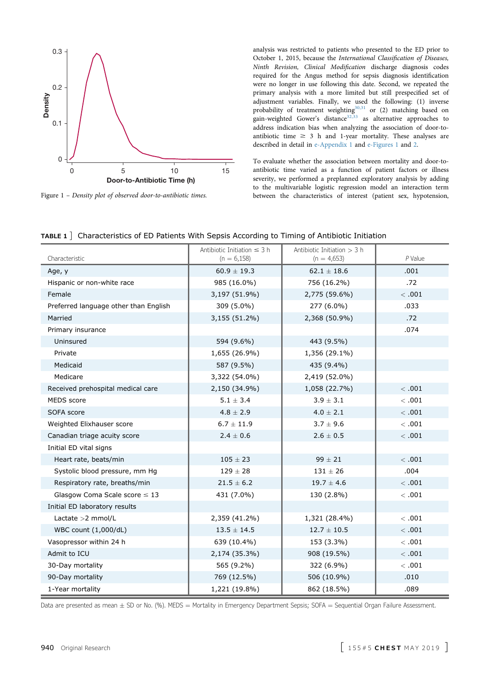<span id="page-2-0"></span>

Figure 1 – Density plot of observed door-to-antibiotic times.

analysis was restricted to patients who presented to the ED prior to October 1, 2015, because the International Classification of Diseases, Ninth Revision, Clinical Modification discharge diagnosis codes required for the Angus method for sepsis diagnosis identification were no longer in use following this date. Second, we repeated the primary analysis with a more limited but still prespecified set of adjustment variables. Finally, we used the following: (1) inverse probability of treatment weighting $30,31$  or (2) matching based on gain-weighted Gower's distance<sup>[32,33](#page-7-0)</sup> as alternative approaches to address indication bias when analyzing the association of door-toantibiotic time  $\geq$  3 h and 1-year mortality. These analyses are described in detail in [e-Appendix 1](#page-8-0) and [e-Figures 1](#page-8-0) and [2](#page-8-0).

To evaluate whether the association between mortality and door-toantibiotic time varied as a function of patient factors or illness severity, we performed a preplanned exploratory analysis by adding to the multivariable logistic regression model an interaction term between the characteristics of interest (patient sex, hypotension,

| Characteristic                        | Antibiotic Initiation $\leq$ 3 h<br>$(n = 6,158)$ | Antibiotic Initiation $>$ 3 h<br>$(n = 4,653)$ | $P$ Value |
|---------------------------------------|---------------------------------------------------|------------------------------------------------|-----------|
| Age, y                                | $60.9 \pm 19.3$                                   | $62.1 \pm 18.6$                                | .001      |
| Hispanic or non-white race            | 985 (16.0%)                                       | 756 (16.2%)                                    | .72       |
| Female                                | 3,197 (51.9%)                                     | 2,775 (59.6%)                                  | <.001     |
| Preferred language other than English | 309 (5.0%)                                        | 277 (6.0%)                                     | .033      |
| Married                               | 3,155 (51.2%)                                     | 2,368 (50.9%)                                  | .72       |
| Primary insurance                     |                                                   |                                                | .074      |
| Uninsured                             | 594 (9.6%)                                        | 443 (9.5%)                                     |           |
| Private                               | 1,655 (26.9%)                                     | 1,356 (29.1%)                                  |           |
| Medicaid                              | 587 (9.5%)                                        | 435 (9.4%)                                     |           |
| Medicare                              | 3,322 (54.0%)                                     | 2,419 (52.0%)                                  |           |
| Received prehospital medical care     | 2,150 (34.9%)                                     | 1,058 (22.7%)                                  | <.001     |
| MEDS score                            | $5.1 \pm 3.4$                                     | $3.9 \pm 3.1$                                  | <.001     |
| SOFA score                            | $4.8 \pm 2.9$                                     | $4.0 \pm 2.1$                                  | <.001     |
| Weighted Elixhauser score             | $6.7 \pm 11.9$                                    | $3.7 \pm 9.6$                                  | <.001     |
| Canadian triage acuity score          | $2.4 \pm 0.6$                                     | $2.6 \pm 0.5$                                  | <.001     |
| Initial ED vital signs                |                                                   |                                                |           |
| Heart rate, beats/min                 | $105 \pm 23$                                      | $99 \pm 21$                                    | <.001     |
| Systolic blood pressure, mm Hq        | $129\pm28$                                        | $131 \pm 26$                                   | .004      |
| Respiratory rate, breaths/min         | $21.5 \pm 6.2$                                    | $19.7 \pm 4.6$                                 | <.001     |
| Glasgow Coma Scale score $\leq 13$    | 431 (7.0%)                                        | 130 (2.8%)                                     | <.001     |
| Initial ED laboratory results         |                                                   |                                                |           |
| Lactate > 2 mmol/L                    | 2,359 (41.2%)                                     | 1,321 (28.4%)                                  | <.001     |
| WBC count (1,000/dL)                  | $13.5 \pm 14.5$                                   | $12.7 \pm 10.5$                                | <.001     |
| Vasopressor within 24 h               | 639 (10.4%)                                       | 153 (3.3%)                                     | <.001     |
| Admit to ICU                          | 2,174 (35.3%)                                     | 908 (19.5%)                                    | <.001     |
| 30-Day mortality                      | 565 (9.2%)                                        | 322 (6.9%)                                     | <.001     |
| 90-Day mortality                      | 769 (12.5%)                                       | 506 (10.9%)                                    | .010      |
| 1-Year mortality                      | 1,221 (19.8%)                                     | 862 (18.5%)                                    | .089      |

|  |  |  |  | <b>TABLE 1</b> $\vert$ Characteristics of ED Patients With Sepsis According to Timing of Antibiotic Initiation |
|--|--|--|--|----------------------------------------------------------------------------------------------------------------|
|--|--|--|--|----------------------------------------------------------------------------------------------------------------|

Data are presented as mean  $\pm$  SD or No. (%). MEDS  $=$  Mortality in Emergency Department Sepsis; SOFA  $=$  Sequential Organ Failure Assessment.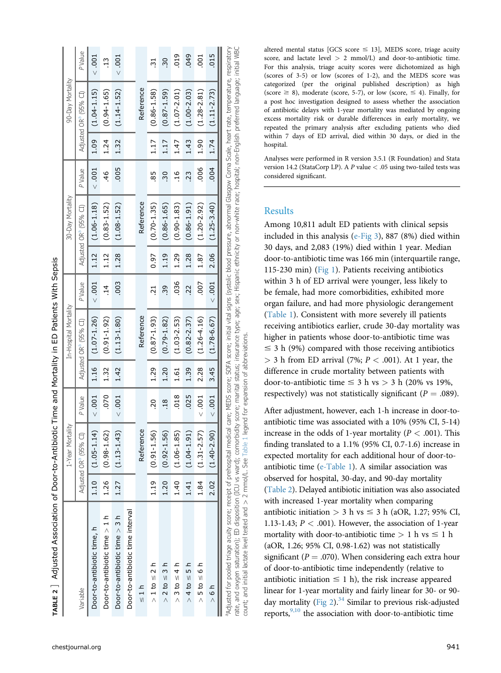| ;<br>;<br>;                                      |
|--------------------------------------------------|
|                                                  |
|                                                  |
|                                                  |
| ı<br>l<br>I                                      |
|                                                  |
|                                                  |
|                                                  |
|                                                  |
|                                                  |
|                                                  |
|                                                  |
| ֘                                                |
|                                                  |
| j                                                |
|                                                  |
|                                                  |
|                                                  |
|                                                  |
| ֦֦֧֦֧֦֧֦֧֪֦֧֪֦֧֪֦֧֪֪֦֧֪֪֪֦֧֪֦֧֚֝֝֝֝֝֝֝֝֬֝֬֝<br>j |
|                                                  |
|                                                  |
|                                                  |
| l                                                |
|                                                  |
|                                                  |
|                                                  |
|                                                  |
|                                                  |
|                                                  |
|                                                  |
|                                                  |
|                                                  |
|                                                  |
|                                                  |
| l                                                |
| ׇ֚֘                                              |
| しょういん<br>֕                                       |
|                                                  |

**Vith Sepsis** 

|                                                                                                                                                                                                                                                                                                                                                                                                                                                                                                                                                                 |      | 1-Year Mortality                  |                |      | In-Hospital Mortality             |                |      | 30-Day Mortality                  |                 |      | 90-Day Mortality                  |                |
|-----------------------------------------------------------------------------------------------------------------------------------------------------------------------------------------------------------------------------------------------------------------------------------------------------------------------------------------------------------------------------------------------------------------------------------------------------------------------------------------------------------------------------------------------------------------|------|-----------------------------------|----------------|------|-----------------------------------|----------------|------|-----------------------------------|-----------------|------|-----------------------------------|----------------|
| Variable                                                                                                                                                                                                                                                                                                                                                                                                                                                                                                                                                        |      | Adjusted OR <sup>ª</sup> (95% CI) | <b>PValue</b>  |      | Adjusted OR <sup>ª</sup> (95% CI) | P Value        |      | Adjusted OR <sup>a</sup> (95% CI) | <b>P</b> Value  |      | Adjusted OR <sup>ª</sup> (95% CI) | P Value        |
| Door-to-antibiotic time, h                                                                                                                                                                                                                                                                                                                                                                                                                                                                                                                                      |      | $1.10$ $(1.05-1.14)$              | < 0.001        | 1.16 | $(1.07 - 1.26)$                   | < 0.001        | 1.12 | $(1.06 - 1.18)$                   | < 0.001         | 1.09 | $(1.04 - 1.15)$                   | < 0.01         |
| Door-to-antibiotic time $> 1 h$                                                                                                                                                                                                                                                                                                                                                                                                                                                                                                                                 | 1.26 | $(0.98 - 1.62)$                   | 070            | 1.32 | $(0.91 - 1.92)$                   | $\frac{14}{1}$ | 1.12 | $(0.83 - 1.52)$                   | 46              | 1.24 | $(0.94 - 1.65)$                   | $\frac{13}{2}$ |
| Door-to-antibiotic time > 3 h                                                                                                                                                                                                                                                                                                                                                                                                                                                                                                                                   | 1.27 | $(1.13 - 1.43)$                   | < 0.01         | 1.42 | $(1.13 - 1.80)$                   | .003           | 1.28 | $(1.08 - 1.52)$                   | 005             | 1.32 | $(1.14 - 1.52)$                   | < 0.01         |
| Door-to-antibiotic time interval                                                                                                                                                                                                                                                                                                                                                                                                                                                                                                                                |      |                                   |                |      |                                   |                |      |                                   |                 |      |                                   |                |
| $\frac{1}{1}$                                                                                                                                                                                                                                                                                                                                                                                                                                                                                                                                                   |      | Reference                         |                |      | Reference                         |                |      | Reference                         |                 |      | Reference                         |                |
| $> 1$ to $\leq 2$ h                                                                                                                                                                                                                                                                                                                                                                                                                                                                                                                                             | 1.19 | $(0.91 - 1.56)$                   | $\overline{6}$ | 1.29 | $(0.87 - 1.93)$                   | 21             | 0.97 | $(0.70 - 1.35)$                   | 85              | 1.17 | $(0.86 - 1.58)$                   | 5              |
| $> 2$ to $\leq 3$ h                                                                                                                                                                                                                                                                                                                                                                                                                                                                                                                                             | 1.20 | $(0.92 - 1.56)$                   | 18             | 1.20 | $(0.79 - 1.82)$                   | 39             | 1.19 | $(0.86 - 1.65)$                   | $\overline{.}0$ | 1.17 | $(0.87 - 1.59)$                   | 50             |
| $> 3$ to $\leq 4$ h                                                                                                                                                                                                                                                                                                                                                                                                                                                                                                                                             | 1.40 | $(1.06 - 1.85)$                   | 018            | 1.61 | $(1.03 - 2.53)$                   | 036            | 1.29 | $(0.90 - 1.83)$                   | 16              | 1.47 | $(1.07 - 2.01)$                   | 019            |
| $> 4 to \leq 5 h$                                                                                                                                                                                                                                                                                                                                                                                                                                                                                                                                               | 1.41 | $(1.04 - 1.91)$                   | .025           | 1.39 | $(0.82 - 2.37)$                   | 22             | 1.28 | $(0.86 - 1.91)$                   | 23              | 1.43 | $(1.00 - 2.03)$                   | .049           |
| $> 5$ to $\leq 6$ h                                                                                                                                                                                                                                                                                                                                                                                                                                                                                                                                             | 1.84 | $(1.31 - 2.57)$                   | < 0.001        | 2.28 | $(1.26 - 4.16)$                   | <b>COO</b>     | 1.87 | $(1.20 - 2.92)$                   | $000$ .         | 1.90 | $(1.28 - 2.81)$                   | $\overline{5}$ |
| $\frac{1}{2}$                                                                                                                                                                                                                                                                                                                                                                                                                                                                                                                                                   |      | $2.02$ (1.40-2.90)                | < 0.001        | 3.45 | $(1.78 - 6.67)$                   | < .001         | 2.06 | $(1.25 - 3.40)$                   | .004            | 1.74 | $(1.11 - 2.73)$                   | .015           |
| rate, and oxygen saturation); ED disposition (ICU vs ward); comorbidity score; marital status; insurance type; sage; sex; Hispanic ethnicity or non-white race; hospital; non-English preferred language; initial WBC<br>"Adjusted for pooled triage acuity score; receipt of prehospital medical care; WEDS score; SOFA score; initial vital signs (systolic blood pressure, abnormal Glasgow Coma Scale, heart rate, temperature, respiratory<br>count; and initial lactate level tested and $>$ 2 mmol/L. See Table 1 legend for expansion of abbreviations. |      |                                   |                |      |                                   |                |      |                                   |                 |      |                                   |                |

[chestjournal.org](http://chestjournal.org) 941

altered mental status [GCS score  $\leq$  13], MEDS score, triage acuity score, and lactate level > 2 mmol/L) and door-to-antibiotic time. For this analysis, triage acuity scores were dichotomized as high (scores of 3-5) or low (scores of 1-2), and the MEDS score was categorized (per the original published description) as high (score  $\geq$  8), moderate (score, 5-7), or low (score,  $\leq$  4). Finally, for a post hoc investigation designed to assess whether the association of antibiotic delays with 1-year mortality was mediated by ongoing excess mortality risk or durable differences in early mortality, we repeated the primary analysis after excluding patients who died within 7 days of ED arrival, died within 30 days, or died in the hospital.

Analyses were performed in R version 3.5.1 (R Foundation) and Stata version 14.2 (StataCorp LP). A P value < .05 using two-tailed tests was considered signi ficant.

## Results

Among 10,811 adult ED patients with clinical sepsis included in this analysis [\(e-Fig 3](#page-8-0)), 887 (8%) died within 30 days, and 2,083 (19%) died within 1 year. Median door-to-antibiotic time was 166 min (interquartile range, 115-230 min) [\(Fig 1\)](#page-2-0). Patients receiving antibiotics within 3 h of ED arrival were younger, less likely to be female, had more comorbidities, exhibited more organ failure, and had more physiologic derangement [\(Table 1](#page-2-0)). Consistent with more severely ill patients receiving antibiotics earlier, crude 30-day mortality was higher in patients whose door-to-antibiotic time was  $\leq$  3 h (9%) compared with those receiving antibiotics  $>$  3 h from ED arrival (7%;  $P < .001$ ). At 1 year, the difference in crude mortality between patients with door-to-antibiotic time  $\leq$  3 h vs  $>$  3 h (20% vs 19%, respectively) was not statistically significant ( $P = .089$ ).

After adjustment, however, each 1-h increase in door-toantibiotic time was associated with a 10% (95% CI, 5-14) increase in the odds of 1-year mortality ( $P < .001$ ). This finding translated to a 1.1% (95% CI, 0.7-1.6) increase in expected mortality for each additional hour of door-toantibiotic time [\(e-Table 1](#page-8-0)). A similar association was observed for hospital, 30-day, and 90-day mortality (Table 2). Delayed antibiotic initiation was also associated with increased 1-year mortality when comparing antibiotic initiation  $> 3$  h vs  $\leq 3$  h (aOR, 1.27; 95% CI, 1.13-1.43;  $P < .001$ ). However, the association of 1-year mortality with door-to-antibiotic time  $> 1$  h vs  $\leq 1$  h (aOR, 1.26; 95% CI, 0.98-1.62) was not statistically significant ( $P = .070$ ). When considering each extra hour of door-to-antibiotic time independently (relative to antibiotic initiation  $\leq 1$  h), the risk increase appeared linear for 1-year mortality and fairly linear for 30- or 90- day mortality ([Fig 2\)](#page-4-0). $34$  Similar to previous risk-adjusted reports,<sup>[9,10](#page-7-0)</sup> the association with door-to-antibiotic time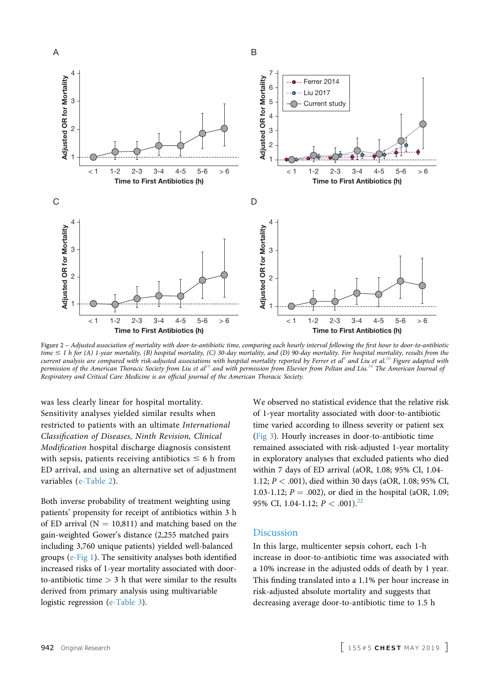<span id="page-4-0"></span>

Figure 2 – Adjusted association of mortality with door-to-antibiotic time, comparing each hourly interval following the first hour to door-to-antibiotic time  $\leq 1$  h for (A) 1-year mortality, (B) hospital mortality, (C) 30-day mortality, and (D) 90-day mortality. For hospital mortality, results from the current analysis are compared with risk-adjusted associations with hospital mortality reported by Ferrer et al<sup>[9](#page-7-0)</sup> and Liu et al.<sup>[10](#page-7-0)</sup> Figure adapted with permission of the American Thoracic Society from Liu et al<sup>10</sup> and with permission from Elsevier from Peltan and Liu.<sup>34</sup> The American Journal of Respiratory and Critical Care Medicine is an official journal of the American Thoracic Society.

was less clearly linear for hospital mortality. Sensitivity analyses yielded similar results when restricted to patients with an ultimate International Classification of Diseases, Ninth Revision, Clinical Modification hospital discharge diagnosis consistent with sepsis, patients receiving antibiotics  $\leq 6$  h from ED arrival, and using an alternative set of adjustment variables [\(e-Table 2\)](#page-8-0).

Both inverse probability of treatment weighting using patients' propensity for receipt of antibiotics within 3 h of ED arrival ( $N = 10,811$ ) and matching based on the gain-weighted Gower's distance (2,255 matched pairs including 3,760 unique patients) yielded well-balanced groups ([e-Fig 1](#page-8-0)). The sensitivity analyses both identified increased risks of 1-year mortality associated with doorto-antibiotic time  $> 3$  h that were similar to the results derived from primary analysis using multivariable logistic regression ([e-Table 3](#page-8-0)).

We observed no statistical evidence that the relative risk of 1-year mortality associated with door-to-antibiotic time varied according to illness severity or patient sex [\(Fig 3\)](#page-5-0). Hourly increases in door-to-antibiotic time remained associated with risk-adjusted 1-year mortality in exploratory analyses that excluded patients who died within 7 days of ED arrival (aOR, 1.08; 95% CI, 1.04- 1.12; P < .001), died within 30 days (aOR, 1.08; 95% CI, 1.03-1.12;  $P = .002$ ), or died in the hospital (aOR, 1.09; 95% CI, 1.04-1.12;  $P < .001$ .<sup>[22](#page-7-0)</sup>

### **Discussion**

In this large, multicenter sepsis cohort, each 1-h increase in door-to-antibiotic time was associated with a 10% increase in the adjusted odds of death by 1 year. This finding translated into a 1.1% per hour increase in risk-adjusted absolute mortality and suggests that decreasing average door-to-antibiotic time to 1.5 h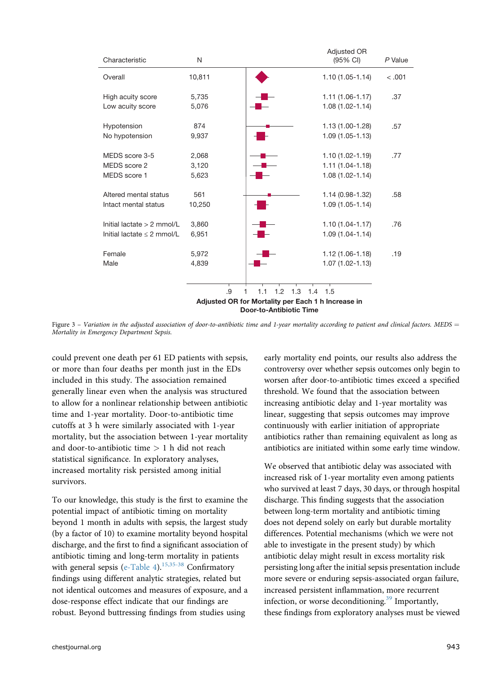<span id="page-5-0"></span>

Figure  $3$  – Variation in the adjusted association of door-to-antibiotic time and 1-year mortality according to patient and clinical factors. MEDS = Mortality in Emergency Department Sepsis.

could prevent one death per 61 ED patients with sepsis, or more than four deaths per month just in the EDs included in this study. The association remained generally linear even when the analysis was structured to allow for a nonlinear relationship between antibiotic time and 1-year mortality. Door-to-antibiotic time cutoffs at 3 h were similarly associated with 1-year mortality, but the association between 1-year mortality and door-to-antibiotic time  $> 1$  h did not reach statistical significance. In exploratory analyses, increased mortality risk persisted among initial survivors.

To our knowledge, this study is the first to examine the potential impact of antibiotic timing on mortality beyond 1 month in adults with sepsis, the largest study (by a factor of 10) to examine mortality beyond hospital discharge, and the first to find a significant association of antibiotic timing and long-term mortality in patients with general sepsis [\(e-Table 4](#page-8-0)).<sup>[15,35-38](#page-7-0)</sup> Confirmatory findings using different analytic strategies, related but not identical outcomes and measures of exposure, and a dose-response effect indicate that our findings are robust. Beyond buttressing findings from studies using

early mortality end points, our results also address the controversy over whether sepsis outcomes only begin to worsen after door-to-antibiotic times exceed a specified threshold. We found that the association between increasing antibiotic delay and 1-year mortality was linear, suggesting that sepsis outcomes may improve continuously with earlier initiation of appropriate antibiotics rather than remaining equivalent as long as antibiotics are initiated within some early time window.

We observed that antibiotic delay was associated with increased risk of 1-year mortality even among patients who survived at least 7 days, 30 days, or through hospital discharge. This finding suggests that the association between long-term mortality and antibiotic timing does not depend solely on early but durable mortality differences. Potential mechanisms (which we were not able to investigate in the present study) by which antibiotic delay might result in excess mortality risk persisting long after the initial sepsis presentation include more severe or enduring sepsis-associated organ failure, increased persistent inflammation, more recurrent infection, or worse deconditioning.<sup>[39](#page-8-0)</sup> Importantly, these findings from exploratory analyses must be viewed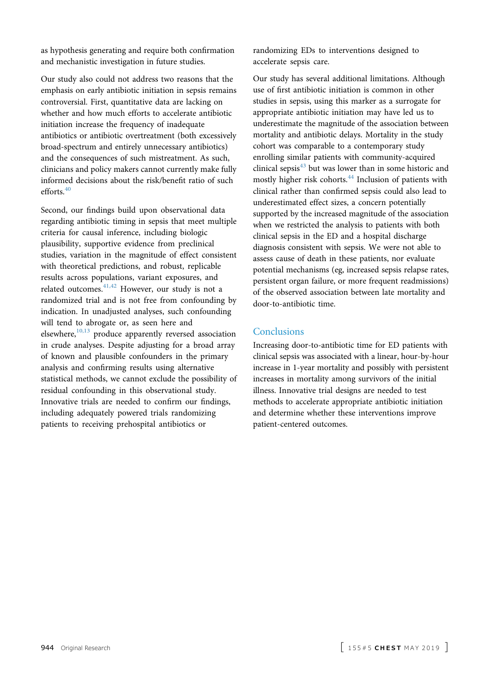as hypothesis generating and require both confirmation and mechanistic investigation in future studies.

Our study also could not address two reasons that the emphasis on early antibiotic initiation in sepsis remains controversial. First, quantitative data are lacking on whether and how much efforts to accelerate antibiotic initiation increase the frequency of inadequate antibiotics or antibiotic overtreatment (both excessively broad-spectrum and entirely unnecessary antibiotics) and the consequences of such mistreatment. As such, clinicians and policy makers cannot currently make fully informed decisions about the risk/benefit ratio of such efforts. $40$ 

Second, our findings build upon observational data regarding antibiotic timing in sepsis that meet multiple criteria for causal inference, including biologic plausibility, supportive evidence from preclinical studies, variation in the magnitude of effect consistent with theoretical predictions, and robust, replicable results across populations, variant exposures, and related outcomes. $41,42$  However, our study is not a randomized trial and is not free from confounding by indication. In unadjusted analyses, such confounding will tend to abrogate or, as seen here and elsewhere, $10,13$  produce apparently reversed association in crude analyses. Despite adjusting for a broad array of known and plausible confounders in the primary analysis and confirming results using alternative statistical methods, we cannot exclude the possibility of residual confounding in this observational study. Innovative trials are needed to confirm our findings, including adequately powered trials randomizing patients to receiving prehospital antibiotics or

randomizing EDs to interventions designed to accelerate sepsis care.

Our study has several additional limitations. Although use of first antibiotic initiation is common in other studies in sepsis, using this marker as a surrogate for appropriate antibiotic initiation may have led us to underestimate the magnitude of the association between mortality and antibiotic delays. Mortality in the study cohort was comparable to a contemporary study enrolling similar patients with community-acquired clinical sepsis $43$  but was lower than in some historic and mostly higher risk cohorts.<sup>[44](#page-8-0)</sup> Inclusion of patients with clinical rather than confirmed sepsis could also lead to underestimated effect sizes, a concern potentially supported by the increased magnitude of the association when we restricted the analysis to patients with both clinical sepsis in the ED and a hospital discharge diagnosis consistent with sepsis. We were not able to assess cause of death in these patients, nor evaluate potential mechanisms (eg, increased sepsis relapse rates, persistent organ failure, or more frequent readmissions) of the observed association between late mortality and door-to-antibiotic time.

## **Conclusions**

Increasing door-to-antibiotic time for ED patients with clinical sepsis was associated with a linear, hour-by-hour increase in 1-year mortality and possibly with persistent increases in mortality among survivors of the initial illness. Innovative trial designs are needed to test methods to accelerate appropriate antibiotic initiation and determine whether these interventions improve patient-centered outcomes.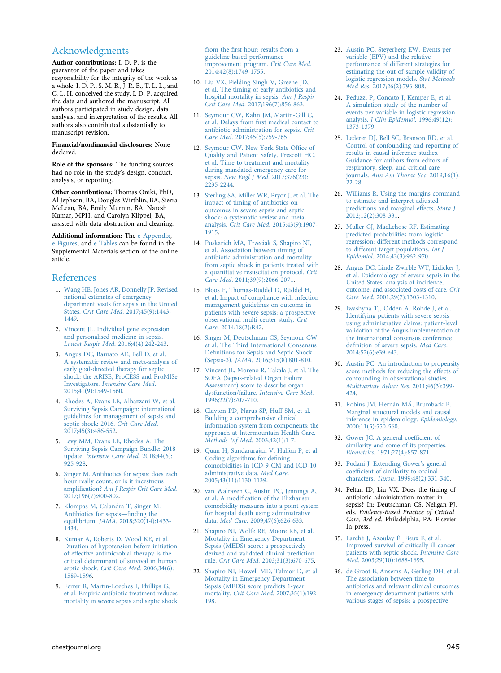## <span id="page-7-0"></span>Acknowledgments

Author contributions: I. D. P. is the guarantor of the paper and takes responsibility for the integrity of the work as a whole. I. D. P., S. M. B., J. R. B., T. L. L., and C. L. H. conceived the study. I. D. P. acquired the data and authored the manuscript. All authors participated in study design, data analysis, and interpretation of the results. All authors also contributed substantially to manuscript revision.

#### Financial/nonfinancial disclosures: None declared.

Role of the sponsors: The funding sources had no role in the study's design, conduct, analysis, or reporting.

Other contributions: Thomas Oniki, PhD, Al Jephson, BA, Douglas Wirthlin, BA, Sierra McLean, BA, Emily Murnin, BA, Naresh Kumar, MPH, and Carolyn Klippel, BA, assisted with data abstraction and cleaning.

Additional information: The [e-Appendix,](#page-8-0) [e-Figures](#page-8-0), and [e-Tables](#page-8-0) can be found in the Supplemental Materials section of the online article.

#### References

- 1. [Wang HE, Jones AR, Donnelly JP. Revised](http://refhub.elsevier.com/S0012-3692(19)30157-6/sref1) [national estimates of emergency](http://refhub.elsevier.com/S0012-3692(19)30157-6/sref1) [department visits for sepsis in the United](http://refhub.elsevier.com/S0012-3692(19)30157-6/sref1) States. Crit Care Med[. 2017;45\(9\):1443-](http://refhub.elsevier.com/S0012-3692(19)30157-6/sref1) [1449](http://refhub.elsevier.com/S0012-3692(19)30157-6/sref1).
- 2. [Vincent JL. Individual gene expression](http://refhub.elsevier.com/S0012-3692(19)30157-6/sref2) [and personalised medicine in sepsis.](http://refhub.elsevier.com/S0012-3692(19)30157-6/sref2) Lancet Respir Med[. 2016;4\(4\):242-243.](http://refhub.elsevier.com/S0012-3692(19)30157-6/sref2)
- 3. [Angus DC, Barnato AE, Bell D, et al.](http://refhub.elsevier.com/S0012-3692(19)30157-6/sref3) [A systematic review and meta-analysis of](http://refhub.elsevier.com/S0012-3692(19)30157-6/sref3) [early goal-directed therapy for septic](http://refhub.elsevier.com/S0012-3692(19)30157-6/sref3) [shock: the ARISE, ProCESS and ProMISe](http://refhub.elsevier.com/S0012-3692(19)30157-6/sref3) Investigators. [Intensive Care Med](http://refhub.elsevier.com/S0012-3692(19)30157-6/sref3). [2015;41\(9\):1549-1560.](http://refhub.elsevier.com/S0012-3692(19)30157-6/sref3)
- 4. [Rhodes A, Evans LE, Alhazzani W, et al.](http://refhub.elsevier.com/S0012-3692(19)30157-6/sref4) [Surviving Sepsis Campaign: international](http://refhub.elsevier.com/S0012-3692(19)30157-6/sref4) [guidelines for management of sepsis and](http://refhub.elsevier.com/S0012-3692(19)30157-6/sref4) [septic shock: 2016.](http://refhub.elsevier.com/S0012-3692(19)30157-6/sref4) Crit Care Med. [2017;45\(3\):486-552](http://refhub.elsevier.com/S0012-3692(19)30157-6/sref4).
- 5. [Levy MM, Evans LE, Rhodes A. The](http://refhub.elsevier.com/S0012-3692(19)30157-6/sref5) [Surviving Sepsis Campaign Bundle: 2018](http://refhub.elsevier.com/S0012-3692(19)30157-6/sref5) update. [Intensive Care Med](http://refhub.elsevier.com/S0012-3692(19)30157-6/sref5). 2018;44(6): [925-928.](http://refhub.elsevier.com/S0012-3692(19)30157-6/sref5)
- 6. [Singer M. Antibiotics for sepsis: does each](http://refhub.elsevier.com/S0012-3692(19)30157-6/sref6) [hour really count, or is it incestuous](http://refhub.elsevier.com/S0012-3692(19)30157-6/sref6) amplification? [Am J Respir Crit Care Med](http://refhub.elsevier.com/S0012-3692(19)30157-6/sref6). [2017;196\(7\):800-802.](http://refhub.elsevier.com/S0012-3692(19)30157-6/sref6)
- 7. [Klompas M, Calandra T, Singer M.](http://refhub.elsevier.com/S0012-3692(19)30157-6/sref7) [Antibiotics for sepsis](http://refhub.elsevier.com/S0012-3692(19)30157-6/sref7)—finding the equilibrium. JAMA[. 2018;320\(14\):1433-](http://refhub.elsevier.com/S0012-3692(19)30157-6/sref7) [1434](http://refhub.elsevier.com/S0012-3692(19)30157-6/sref7).
- 8. [Kumar A, Roberts D, Wood KE, et al.](http://refhub.elsevier.com/S0012-3692(19)30157-6/sref8) [Duration of hypotension before initiation](http://refhub.elsevier.com/S0012-3692(19)30157-6/sref8) [of effective antimicrobial therapy is the](http://refhub.elsevier.com/S0012-3692(19)30157-6/sref8) [critical determinant of survival in human](http://refhub.elsevier.com/S0012-3692(19)30157-6/sref8) septic shock. [Crit Care Med](http://refhub.elsevier.com/S0012-3692(19)30157-6/sref8). 2006;34(6): [1589-1596.](http://refhub.elsevier.com/S0012-3692(19)30157-6/sref8)
- 9. [Ferrer R, Martín-Loeches I, Phillips G,](http://refhub.elsevier.com/S0012-3692(19)30157-6/sref9) [et al. Empiric antibiotic treatment reduces](http://refhub.elsevier.com/S0012-3692(19)30157-6/sref9) [mortality in severe sepsis and septic shock](http://refhub.elsevier.com/S0012-3692(19)30157-6/sref9)

from the fi[rst hour: results from a](http://refhub.elsevier.com/S0012-3692(19)30157-6/sref9) [guideline-based performance](http://refhub.elsevier.com/S0012-3692(19)30157-6/sref9) [improvement program.](http://refhub.elsevier.com/S0012-3692(19)30157-6/sref9) Crit Care Med. [2014;42\(8\):1749-1755.](http://refhub.elsevier.com/S0012-3692(19)30157-6/sref9)

- 10. [Liu VX, Fielding-Singh V, Greene JD,](http://refhub.elsevier.com/S0012-3692(19)30157-6/sref10) [et al. The timing of early antibiotics and](http://refhub.elsevier.com/S0012-3692(19)30157-6/sref10) [hospital mortality in sepsis.](http://refhub.elsevier.com/S0012-3692(19)30157-6/sref10) Am J Respir Crit Care Med[. 2017;196\(7\):856-863.](http://refhub.elsevier.com/S0012-3692(19)30157-6/sref10)
- 11. [Seymour CW, Kahn JM, Martin-Gill C,](http://refhub.elsevier.com/S0012-3692(19)30157-6/sref11) et al. Delays from fi[rst medical contact to](http://refhub.elsevier.com/S0012-3692(19)30157-6/sref11) [antibiotic administration for sepsis.](http://refhub.elsevier.com/S0012-3692(19)30157-6/sref11) Crit Care Med[. 2017;45\(5\):759-765](http://refhub.elsevier.com/S0012-3692(19)30157-6/sref11).
- 12. [Seymour CW. New York State Of](http://refhub.elsevier.com/S0012-3692(19)30157-6/sref12)fice of [Quality and Patient Safety, Prescott HC,](http://refhub.elsevier.com/S0012-3692(19)30157-6/sref12) [et al. Time to treatment and mortality](http://refhub.elsevier.com/S0012-3692(19)30157-6/sref12) [during mandated emergency care for](http://refhub.elsevier.com/S0012-3692(19)30157-6/sref12) sepsis. [New Engl J Med](http://refhub.elsevier.com/S0012-3692(19)30157-6/sref12). 2017;376(23): [2235-2244](http://refhub.elsevier.com/S0012-3692(19)30157-6/sref12).
- 13. [Sterling SA, Miller WR, Pryor J, et al. The](http://refhub.elsevier.com/S0012-3692(19)30157-6/sref13) [impact of timing of antibiotics on](http://refhub.elsevier.com/S0012-3692(19)30157-6/sref13) [outcomes in severe sepsis and septic](http://refhub.elsevier.com/S0012-3692(19)30157-6/sref13) [shock: a systematic review and meta](http://refhub.elsevier.com/S0012-3692(19)30157-6/sref13)analysis. Crit Care Med[. 2015;43\(9\):1907-](http://refhub.elsevier.com/S0012-3692(19)30157-6/sref13) [1915.](http://refhub.elsevier.com/S0012-3692(19)30157-6/sref13)
- 14. [Puskarich MA, Trzeciak S, Shapiro NI,](http://refhub.elsevier.com/S0012-3692(19)30157-6/sref14) [et al. Association between timing of](http://refhub.elsevier.com/S0012-3692(19)30157-6/sref14) [antibiotic administration and mortality](http://refhub.elsevier.com/S0012-3692(19)30157-6/sref14) [from septic shock in patients treated with](http://refhub.elsevier.com/S0012-3692(19)30157-6/sref14) [a quantitative resuscitation protocol.](http://refhub.elsevier.com/S0012-3692(19)30157-6/sref14) Crit Care Med[. 2011;39\(9\):2066-2071.](http://refhub.elsevier.com/S0012-3692(19)30157-6/sref14)
- 15. [Bloos F, Thomas-Rüddel D, Rüddel H,](http://refhub.elsevier.com/S0012-3692(19)30157-6/sref15) [et al. Impact of compliance with infection](http://refhub.elsevier.com/S0012-3692(19)30157-6/sref15) [management guidelines on outcome in](http://refhub.elsevier.com/S0012-3692(19)30157-6/sref15) [patients with severe sepsis: a prospective](http://refhub.elsevier.com/S0012-3692(19)30157-6/sref15) [observational multi-center study.](http://refhub.elsevier.com/S0012-3692(19)30157-6/sref15) Crit Care[. 2014;18\(2\):R42](http://refhub.elsevier.com/S0012-3692(19)30157-6/sref15).
- 16. [Singer M, Deutschman CS, Seymour CW,](http://refhub.elsevier.com/S0012-3692(19)30157-6/sref16) [et al. The Third International Consensus](http://refhub.elsevier.com/S0012-3692(19)30157-6/sref16) Defi[nitions for Sepsis and Septic Shock](http://refhub.elsevier.com/S0012-3692(19)30157-6/sref16) (Sepsis-3). JAMA[. 2016;315\(8\):801-810](http://refhub.elsevier.com/S0012-3692(19)30157-6/sref16).
- 17. [Vincent JL, Moreno R, Takala J, et al. The](http://refhub.elsevier.com/S0012-3692(19)30157-6/sref17) [SOFA \(Sepsis-related Organ Failure](http://refhub.elsevier.com/S0012-3692(19)30157-6/sref17) [Assessment\) score to describe organ](http://refhub.elsevier.com/S0012-3692(19)30157-6/sref17) dysfunction/failure. [Intensive Care Med](http://refhub.elsevier.com/S0012-3692(19)30157-6/sref17). [1996;22\(7\):707-710](http://refhub.elsevier.com/S0012-3692(19)30157-6/sref17).
- 18. [Clayton PD, Narus SP, Huff SM, et al.](http://refhub.elsevier.com/S0012-3692(19)30157-6/sref18) [Building a comprehensive clinical](http://refhub.elsevier.com/S0012-3692(19)30157-6/sref18) [information system from components: the](http://refhub.elsevier.com/S0012-3692(19)30157-6/sref18) [approach at Intermountain Health Care.](http://refhub.elsevier.com/S0012-3692(19)30157-6/sref18) [Methods Inf Med](http://refhub.elsevier.com/S0012-3692(19)30157-6/sref18). 2003;42(1):1-7.
- 19. [Quan H, Sundararajan V, Halfon P, et al.](http://refhub.elsevier.com/S0012-3692(19)30157-6/sref19) [Coding algorithms for de](http://refhub.elsevier.com/S0012-3692(19)30157-6/sref19)fining [comorbidities in ICD-9-CM and ICD-10](http://refhub.elsevier.com/S0012-3692(19)30157-6/sref19) [administrative data.](http://refhub.elsevier.com/S0012-3692(19)30157-6/sref19) Med Care. [2005;43\(11\):1130-1139](http://refhub.elsevier.com/S0012-3692(19)30157-6/sref19).
- 20. [van Walraven C, Austin PC, Jennings A,](http://refhub.elsevier.com/S0012-3692(19)30157-6/sref20) et al. A modifi[cation of the Elixhauser](http://refhub.elsevier.com/S0012-3692(19)30157-6/sref20) [comorbidity measures into a point system](http://refhub.elsevier.com/S0012-3692(19)30157-6/sref20) [for hospital death using administrative](http://refhub.elsevier.com/S0012-3692(19)30157-6/sref20) data. Med Care[. 2009;47\(6\):626-633.](http://refhub.elsevier.com/S0012-3692(19)30157-6/sref20)
- 21. [Shapiro NI, Wolfe RE, Moore RB, et al.](http://refhub.elsevier.com/S0012-3692(19)30157-6/sref21) [Mortality in Emergency Department](http://refhub.elsevier.com/S0012-3692(19)30157-6/sref21) [Sepsis \(MEDS\) score: a prospectively](http://refhub.elsevier.com/S0012-3692(19)30157-6/sref21) [derived and validated clinical prediction](http://refhub.elsevier.com/S0012-3692(19)30157-6/sref21) rule. Crit Care Med[. 2003;31\(3\):670-675](http://refhub.elsevier.com/S0012-3692(19)30157-6/sref21).
- 22. [Shapiro NI, Howell MD, Talmor D, et al.](http://refhub.elsevier.com/S0012-3692(19)30157-6/sref22) [Mortality in Emergency Department](http://refhub.elsevier.com/S0012-3692(19)30157-6/sref22) [Sepsis \(MEDS\) score predicts 1-year](http://refhub.elsevier.com/S0012-3692(19)30157-6/sref22) mortality. Crit Care Med[. 2007;35\(1\):192-](http://refhub.elsevier.com/S0012-3692(19)30157-6/sref22) [198.](http://refhub.elsevier.com/S0012-3692(19)30157-6/sref22)
- 23. [Austin PC, Steyerberg EW. Events per](http://refhub.elsevier.com/S0012-3692(19)30157-6/sref23) [variable \(EPV\) and the relative](http://refhub.elsevier.com/S0012-3692(19)30157-6/sref23) [performance of different strategies for](http://refhub.elsevier.com/S0012-3692(19)30157-6/sref23) [estimating the out-of-sample validity of](http://refhub.elsevier.com/S0012-3692(19)30157-6/sref23) [logistic regression models.](http://refhub.elsevier.com/S0012-3692(19)30157-6/sref23) Stat Methods Med Res[. 2017;26\(2\):796-808](http://refhub.elsevier.com/S0012-3692(19)30157-6/sref23).
- 24. [Peduzzi P, Concato J, Kemper E, et al.](http://refhub.elsevier.com/S0012-3692(19)30157-6/sref24) [A simulation study of the number of](http://refhub.elsevier.com/S0012-3692(19)30157-6/sref24) [events per variable in logistic regression](http://refhub.elsevier.com/S0012-3692(19)30157-6/sref24) analysis. [J Clin Epidemiol](http://refhub.elsevier.com/S0012-3692(19)30157-6/sref24). 1996;49(12): [1373-1379](http://refhub.elsevier.com/S0012-3692(19)30157-6/sref24).
- 25. [Lederer DJ, Bell SC, Branson RD, et al.](http://refhub.elsevier.com/S0012-3692(19)30157-6/sref25) [Control of confounding and reporting of](http://refhub.elsevier.com/S0012-3692(19)30157-6/sref25) [results in causal inference studies.](http://refhub.elsevier.com/S0012-3692(19)30157-6/sref25) [Guidance for authors from editors of](http://refhub.elsevier.com/S0012-3692(19)30157-6/sref25) [respiratory, sleep, and critical care](http://refhub.elsevier.com/S0012-3692(19)30157-6/sref25) journals. [Ann Am Thorac Soc](http://refhub.elsevier.com/S0012-3692(19)30157-6/sref25). 2019;16(1): [22-28.](http://refhub.elsevier.com/S0012-3692(19)30157-6/sref25)
- 26. [Williams R. Using the margins command](http://refhub.elsevier.com/S0012-3692(19)30157-6/sref26) [to estimate and interpret adjusted](http://refhub.elsevier.com/S0012-3692(19)30157-6/sref26) [predictions and marginal effects.](http://refhub.elsevier.com/S0012-3692(19)30157-6/sref26) Stata J. [2012;12\(2\):308-331.](http://refhub.elsevier.com/S0012-3692(19)30157-6/sref26)
- 27. [Muller CJ, MacLehose RF. Estimating](http://refhub.elsevier.com/S0012-3692(19)30157-6/sref27) [predicted probabilities from logistic](http://refhub.elsevier.com/S0012-3692(19)30157-6/sref27) [regression: different methods correspond](http://refhub.elsevier.com/S0012-3692(19)30157-6/sref27) [to different target populations.](http://refhub.elsevier.com/S0012-3692(19)30157-6/sref27) Int J Epidemiol[. 2014;43\(3\):962-970.](http://refhub.elsevier.com/S0012-3692(19)30157-6/sref27)
- 28. [Angus DC, Linde-Zwirble WT, Lidicker J,](http://refhub.elsevier.com/S0012-3692(19)30157-6/sref28) [et al. Epidemiology of severe sepsis in the](http://refhub.elsevier.com/S0012-3692(19)30157-6/sref28) [United States: analysis of incidence,](http://refhub.elsevier.com/S0012-3692(19)30157-6/sref28) [outcome, and associated costs of care.](http://refhub.elsevier.com/S0012-3692(19)30157-6/sref28) Crit Care Med[. 2001;29\(7\):1303-1310](http://refhub.elsevier.com/S0012-3692(19)30157-6/sref28).
- 29. [Iwashyna TJ, Odden A, Rohde J, et al.](http://refhub.elsevier.com/S0012-3692(19)30157-6/sref29) [Identifying patients with severe sepsis](http://refhub.elsevier.com/S0012-3692(19)30157-6/sref29) [using administrative claims: patient-level](http://refhub.elsevier.com/S0012-3692(19)30157-6/sref29) [validation of the Angus implementation of](http://refhub.elsevier.com/S0012-3692(19)30157-6/sref29) [the international consensus conference](http://refhub.elsevier.com/S0012-3692(19)30157-6/sref29) defi[nition of severe sepsis.](http://refhub.elsevier.com/S0012-3692(19)30157-6/sref29) Med Care. [2014;52\(6\):e39-e43.](http://refhub.elsevier.com/S0012-3692(19)30157-6/sref29)
- 30. [Austin PC. An introduction to propensity](http://refhub.elsevier.com/S0012-3692(19)30157-6/sref30) [score methods for reducing the effects of](http://refhub.elsevier.com/S0012-3692(19)30157-6/sref30) [confounding in observational studies.](http://refhub.elsevier.com/S0012-3692(19)30157-6/sref30) [Multivariate Behav Res](http://refhub.elsevier.com/S0012-3692(19)30157-6/sref30). 2011;46(3):399- [424](http://refhub.elsevier.com/S0012-3692(19)30157-6/sref30).
- 31. [Robins JM, Hernán MÁ, Brumback B.](http://refhub.elsevier.com/S0012-3692(19)30157-6/sref31) [Marginal structural models and causal](http://refhub.elsevier.com/S0012-3692(19)30157-6/sref31) [inference in epidemiology.](http://refhub.elsevier.com/S0012-3692(19)30157-6/sref31) Epidemiology. [2000;11\(5\):550-560.](http://refhub.elsevier.com/S0012-3692(19)30157-6/sref31)
- 32. [Gower JC. A general coef](http://refhub.elsevier.com/S0012-3692(19)30157-6/sref32)ficient of [similarity and some of its properties.](http://refhub.elsevier.com/S0012-3692(19)30157-6/sref32) Biometrics[. 1971;27\(4\):857-871.](http://refhub.elsevier.com/S0012-3692(19)30157-6/sref32)
- 33. [Podani J. Extending Gower](http://refhub.elsevier.com/S0012-3692(19)30157-6/sref33)'s general coeffi[cient of similarity to ordinal](http://refhub.elsevier.com/S0012-3692(19)30157-6/sref33) characters. Taxon[. 1999;48\(2\):331-340](http://refhub.elsevier.com/S0012-3692(19)30157-6/sref33).
- 34. Peltan ID, Liu VX. Does the timing of antibiotic administration matter in sepsis? In: Deutschman CS, Neligan PJ, eds. Evidence-Based Practice of Critical Care, 3rd ed. Philadelphia, PA: Elsevier. In press.
- 35. [Larché J, Azoulay É, Fieux F, et al.](http://refhub.elsevier.com/S0012-3692(19)30157-6/sref35) [Improved survival of critically ill cancer](http://refhub.elsevier.com/S0012-3692(19)30157-6/sref35) [patients with septic shock.](http://refhub.elsevier.com/S0012-3692(19)30157-6/sref35) Intensive Care Med[. 2003;29\(10\):1688-1695.](http://refhub.elsevier.com/S0012-3692(19)30157-6/sref35)
- 36. [de Groot B, Ansems A, Gerling DH, et al.](http://refhub.elsevier.com/S0012-3692(19)30157-6/sref36) [The association between time to](http://refhub.elsevier.com/S0012-3692(19)30157-6/sref36) [antibiotics and relevant clinical outcomes](http://refhub.elsevier.com/S0012-3692(19)30157-6/sref36) [in emergency department patients with](http://refhub.elsevier.com/S0012-3692(19)30157-6/sref36) [various stages of sepsis: a prospective](http://refhub.elsevier.com/S0012-3692(19)30157-6/sref36)